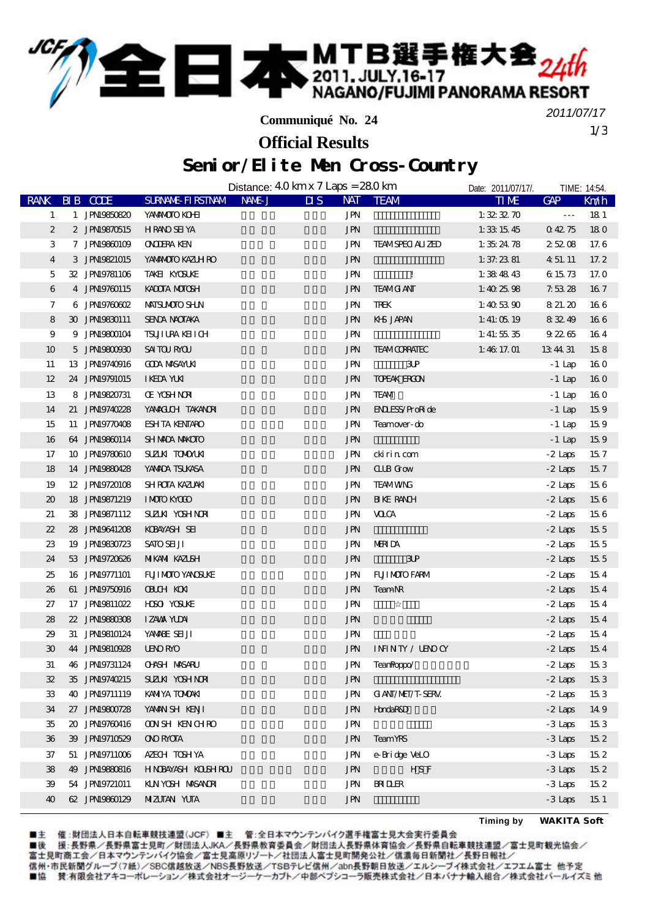

**Communiqué No. 24**

1/3 *2011/07/17*

## Senior/Elite Men Cross-Country **Official Results**

|                             |                |                                   | Distance: $40 \,\mathrm{km} \times 7 \,\mathrm{Laps} = 280 \,\mathrm{km}$ |                            | Date: 2011/07/17/. |                      | TIME: 14:54.    |
|-----------------------------|----------------|-----------------------------------|---------------------------------------------------------------------------|----------------------------|--------------------|----------------------|-----------------|
| <b>RANK</b>                 | BIB CODE       | SURNAME FIRSTNAM NAME J           | $\overline{\mathbf{M}}\mathbf{S}$                                         | NAT TEAM                   | <b>TIME</b>        | GAP                  | Km/h            |
| $\mathbf{1}$                | 1 JPN19850820  | YANAMOTO KOHI                     | JPN                                                                       |                            | 1: $323270$        | $\sim$ $\sim$ $\sim$ | 181             |
| $\boldsymbol{z}$            | 2 JPN19870515  | <b>HRANO SEI YA</b>               | <b>JPN</b>                                                                |                            | 1:331545           | 04275                | 180             |
| 3                           | 7 JPN19860109  | <b>ONDERA KEN</b>                 | JPN                                                                       | <b>TEAMSPECI ALIZED</b>    | 1: $352478$        | 25208                | 17.6            |
| $\overline{4}$              | 3 JPN9821015   | YANANOTO KAZIH RO                 | <b>JPN</b>                                                                |                            | 1: 37.2381         | 4 51 11              | 17.2            |
| 5                           | 32 JPN19781106 | TAKEI KYOSUKE                     | JPN                                                                       | $\mathbf{I}$               | 1: $384843$        | 6 15 73              | 17. O           |
| 6                           | 4 JPN9760115   | KADOTA MOTOSH                     | <b>JPN</b>                                                                | <b>TEAMG ANT</b>           | 1:40 $25.98$       | 7.5328               | 167             |
| 7                           | 6 JPN9760602   | MAISUMOIO SHUN                    | JPN                                                                       | TREK                       | 1:40 $5390$        | 8 21.20              | 166             |
| 8                           | 30 JPN19830111 | SENDA NACITAKA                    | <b>JPN</b>                                                                | KHS JAPAN                  | 1: $41:0519$       | 83249                | 166             |
| 9                           | 9 JPN19800104  | TSUJI URA KELI CH                 | JPN                                                                       |                            | 1: 41: $55.35$     | 92265                | 164             |
| 10                          | 5 JPN9800930   | <b>SAITOJ RYOJ</b>                | <b>JPN</b>                                                                | <b>TEAMOORATEC</b>         | 1:46 $17.01$       | 13 44 31             | 158             |
| 11                          | 13 JPN19740916 | <b>GDA MSAYLKI</b>                | JPN                                                                       | 3P                         |                    | - 1 Lap              | 160             |
| 12                          | 24 JPN9791015  | I KEDA YUKI                       | JPN                                                                       | <b>TOEAK ERON</b>          |                    | $-1$ Lap             | <b>16 O</b>     |
| 13                          | 8 JPN9820731   | <b>CE YOSH NOR</b>                | <b>JPN</b>                                                                | <b>TEAM</b>                |                    | $-1$ Lap             | 160             |
| 14                          | 21 JPN19740228 | YANACUH TAKANORI                  | <b>JPN</b>                                                                | <b>ENLESS/ProRide</b>      |                    | $-1$ Lap             | 159             |
| 15                          | 11 JPN19770408 | <b>ESH TA KENTARO</b>             | <b>JPN</b>                                                                | Teamover-do                |                    | $-1$ Lap             | 159             |
| 16                          | 64 JPN19860114 | <b>SHMDA MKOTO</b>                | <b>JPN</b>                                                                |                            |                    | -1 Lap               | 159             |
| 17                          | 10 JPN19780610 | SUZLKI TOMONLKI                   | JPN                                                                       | cki ri n com               |                    | $-2$ Laps            | 157             |
| 18                          | 14 JPN19880428 | YANADA TSUKASA                    | <b>JPN</b>                                                                | <b>CLIB</b> Grow           |                    | $-2$ Laps            | 157             |
| 19                          | 12 JPN19720108 | SHROTA KAZLAKI                    | JPN                                                                       | <b>TEAMWNG</b>             |                    | $-2$ Laps            | 156             |
| $\boldsymbol{\mathfrak{D}}$ | 18 JPN19871219 | IMOTO KYOLO                       | JPN                                                                       | <b>H</b> KE RANCH          |                    | $-2$ Laps            | 156             |
| 21                          | 38 JPN19871112 | SUZUKI YOSHINDAI                  | JPN                                                                       | <b>VOCA</b>                |                    | $-2$ Laps            | 156             |
| 22                          | 28 JPN19641208 | KOBAYASH SEI                      | <b>JPN</b>                                                                |                            |                    | $-2$ Laps            | 155             |
| 23                          | 19 JPN19830723 | <b>SATO SEL JI</b>                | <b>JPN</b>                                                                | <b>MERIDA</b>              |                    | $-2$ Laps            | 155             |
| 24                          | 53 JPN9720626  | MIKANI KAZISH                     | <b>JPN</b>                                                                | 3P                         |                    | $-2$ Laps            | 15 <sub>5</sub> |
| 25                          | 16 JPN19771101 | FUI MOIO YANGUKE                  | JPN                                                                       | <b>FUILMOIO FARM</b>       |                    | $-2$ Laps            | 154             |
| 26                          | 61 JPN19750916 | <b>OBUH KON</b>                   | JPN                                                                       | TeamNR                     |                    | $-2$ Laps            | 154             |
| 27                          | 17 JPN19811022 | <b>HOSO</b> YOSUKE                | <b>JPN</b>                                                                |                            |                    | $-2$ Laps            | 154             |
| 28                          | 22 JPN19880808 | <b>IZAWA YUDAI</b>                | <b>JPN</b>                                                                |                            |                    | $-2$ Laps            | 154             |
| 29                          | 31 JPN19810124 | YAMBE SEI JI                      | <b>JPN</b>                                                                |                            |                    | $-2$ Laps            | 154             |
| 30                          | 44 JPN19810928 | <b>UENORMO</b>                    | <b>JPN</b>                                                                | INNTY / UNOCY              |                    | $-2$ Laps            | 154             |
| 31                          |                | 46 JPN9731124 <b>O-ASH MASARU</b> |                                                                           | JPN TeanRoppo <sup>/</sup> |                    | $-2$ Laps            | 153             |
| 32                          | 35 JPN9740215  | SUZUN YOSHNOR                     | JPN                                                                       |                            |                    | $-2$ Laps            | 153             |
| 33                          | 40 JPN9711119  | KANIYA TONOAKI                    | JPN                                                                       | <b>GANI/MEI/T-SERV.</b>    |                    | $-2$ Laps            | 153             |
| 34                          | 27 JPN19800728 | YANAN SH KENJI                    | <b>JPN</b>                                                                | <b>HondaR&amp;D</b>        |                    | $-2$ Laps            | 149             |
| 35                          | 20 JPN19760416 | <b>ONSH KENCHRO</b>               | JPN                                                                       |                            |                    | $-3$ Laps            | 153             |
| 36                          | 39 JPN9710529  | <b>ONOROTA</b>                    | <b>JPN</b>                                                                | <b>TeamYRS</b>             |                    | $-3$ Laps            | 152             |
| 37                          | 51 JPN19711006 | AZECH TOSHYA                      | JPN                                                                       | e-Bridge VeLO              |                    | $-3$ Laps            | 152             |
| 38                          | 49 JPN19880816 | HNDAYASH KOLSHROU                 | <b>JPN</b>                                                                | HS F                       |                    | $-3$ Laps            | 152             |
| 39                          | 54 JPN19721011 | KLNYOSH MASANOR                   | JPN                                                                       | <b>RILLER</b>              |                    | $-3$ Laps            | $15\,2$         |
| 40                          | 62 JPN19860129 | <b>MIZUTAN YUTA</b>               | <b>JPN</b>                                                                |                            |                    | $-3$ Laps            | 151             |

■主 催:財団法人日本自転車競技連盟(JCF) ■主 管:全日本マウンテンバイク選手権富士見大会実行委員会

**Timing by** *WAKITA Soft*

■後 援:長野県/長野県富士&原文生産団法人JKA/長野県教育委員会/財団法人長野県体育協会/長野県自転車競技連盟/富士見町観光協会/<br>■後 援:長野県/長野県富士見町/財団法人JKA/長野県教育委員会/財団法人長野県体育協会/長野県自転車競技連盟/富士見町観光協会/<br>富士見町商工会/日本マウンテンバイク協会/富士見高原リゾート/社団法人富士見町開発公社/信濃毎日新聞社/長野日報社/ 信州·市民新聞グループ(7紙)/SBC信越放送/NBS長野放送/TSBテレビ信州/abn長野朝日放送/エルシーブイ株式会社/エフエム富士 他予定 ■協 賛:有限会社アキコーポレーション/株式会社オージーケーカブト/中部ペプシコーラ販売株式会社/日本バナナ輸入組合/株式会社パールイズミ他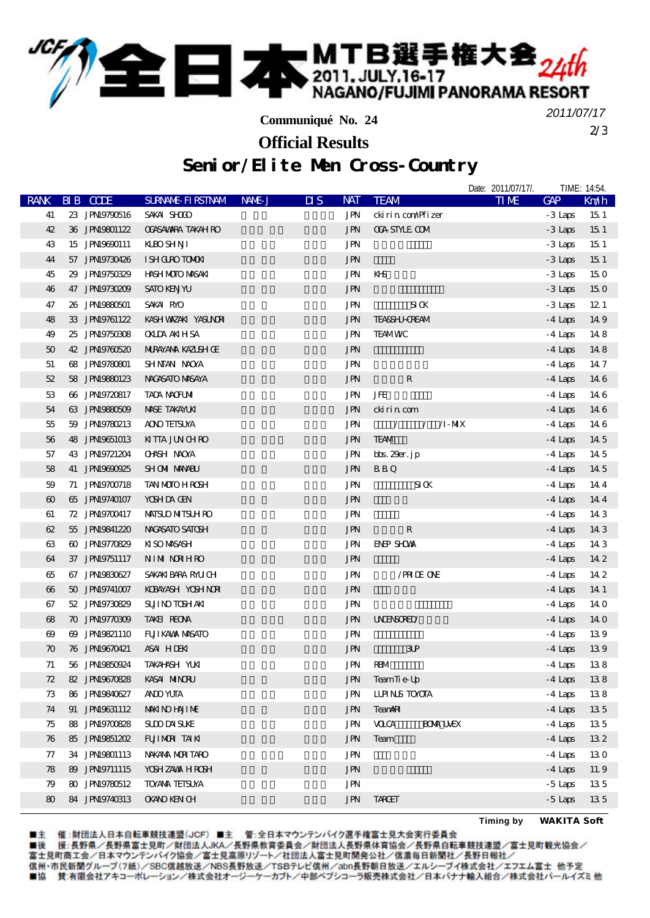

**Communiqué No. 24**

2/3 *2011/07/17*

**Official Results**

## Senior/Elite Men Cross-Country

|                       |                |                           |        |                                         |                               | Date: 2011/07/17/. |           | TIME: 14:54.    |
|-----------------------|----------------|---------------------------|--------|-----------------------------------------|-------------------------------|--------------------|-----------|-----------------|
| <b>RANK</b>           | BIB CODE       | <b>SURVANE FIRSTIVAM</b>  | NAME J | <b>NAT</b><br>$\overline{\mathbf{u}}$ s | <b>TEAM</b>                   | <b>TIME</b>        | $G\!A\!P$ | Km/h            |
| 41                    | 23 JPN9790516  | SAKAI SHOOD               |        | JPN                                     | ckirin com/Pfizer             |                    | -3 Laps   | 15 <sub>1</sub> |
| 42                    | 36 JPN19801122 | <b>OGASAWARA TAKAH RO</b> |        | <b>JPN</b>                              | <b>CGA STYLE COM</b>          |                    | $-3$ Laps | 15 1            |
| 43                    | 15 JPN19690111 | <b>KBOSHNI</b>            |        | <b>JPN</b>                              |                               |                    | $-3$ Laps | 15 <sub>1</sub> |
| 44                    | 57 JPN9730426  | <b>ISH GURO TOMOKI</b>    |        | <b>JPN</b>                              |                               |                    | $-3$ Laps | 15 <sub>1</sub> |
| 45                    | 29 JPN19750329 | <b>HASH MOTO MASAKI</b>   |        | <b>JPN</b>                              | KH-S                          |                    | - 3 Laps  | 150             |
| 46                    | 47 JPN9730209  | <b>SATO KENTYU</b>        |        | <b>JPN</b>                              |                               |                    | $-3$ Laps | 150             |
| 47                    | 26 JPN19880501 | SAKAI RYO                 |        | <b>JPN</b>                              | S I K                         |                    | -3 Laps   | 12 <sub>1</sub> |
| 48                    | 33 JPN19761122 | KASH WAZAKI YASUNORI      |        | <b>JPN</b>                              | <b>TEASSHJ-CREAM</b>          |                    | $-4$ Laps | 149             |
| 49                    | 25 JPN9750808  | <b>OKIDA AKIHSA</b>       |        | JPN                                     | <b>TEAMWC</b>                 |                    | -4 Laps   | 148             |
| 50                    | 42 JPN19760520 | <b>MIRAYANA KAZISH Œ</b>  |        | <b>JPN</b>                              |                               |                    | $-4$ Laps | 148             |
| 51                    | 68 JPN19780801 | SHNIAN NAOYA              |        | JPN                                     |                               |                    | $-4$ Laps | 147             |
| 52                    | 58 JPN19880123 | NACASATO MASAYA           |        | <b>JPN</b>                              | $\mathbf R$                   |                    | $-4$ Laps | 146             |
| 53                    | 66 JPN19720817 | <b>TADA NACFUMI</b>       |        | <b>JPN</b>                              | JFE                           |                    | $-4$ Laps | 146             |
| 54                    | 63 JPN19880509 | <b>MASE TAKAYLKI</b>      |        | <b>JPN</b>                              | ckirin com                    |                    | -4 Laps   | 14 6            |
| 55                    | 59 JPN9780213  | <b>AOO TEISUYA</b>        |        | JPN                                     | $\sqrt{1-MX}$                 |                    | -4 Laps   | 146             |
| 56                    | 48 JPN19651013 | <b>KITA JUNCHRO</b>       |        | <b>JPN</b>                              | <b>TEAM</b>                   |                    | $-4$ Laps | 145             |
| 57                    | 43 JPN19721204 | <b>OHSH NOXA</b>          |        | JPN                                     | bbs. 29er. jp                 |                    | $-4$ Laps | 14 5            |
| 58                    | 41 JPN19690925 | <b>SHOMI MANABU</b>       |        | JPN                                     | <b>BBQ</b>                    |                    | $-4$ Laps | 14 5            |
| 59                    | 71 JPN9700718  | <b>TAN MOTO H ROSH</b>    |        | <b>JPN</b>                              | $SI$ $K$                      |                    | $-4$ Laps | 144             |
| $\boldsymbol{\omega}$ | 65 JPN9740107  | YOSH DA GEN               |        | <b>JPN</b>                              |                               |                    | $-4$ Laps | 144             |
| 61                    | 72 JPN19700417 | <b>MAISLO MITSLH RO</b>   |        | JPN                                     |                               |                    | -4 Laps   | 14 3            |
| 62                    | 55 JPN19841220 | NACASATO SATOSH           |        | JPN                                     | ${\bf R}$                     |                    | $-4$ Laps | 14 3            |
| 63                    | 60 JPN19770829 | <b>KISO MASASH</b>        |        | JPN                                     | <b>ENEP SHOWN</b>             |                    | $-4$ Laps | 14 3            |
| 64                    | 37 JPN9751117  | NIM NRHRO                 |        | <b>JPN</b>                              |                               |                    | $-4$ Laps | 14 2            |
| 65                    | 67 JPN19830627 | SAKAKI BARA RAUCH         |        | JPN                                     | /PRIDE ONE                    |                    | $-4$ Laps | 14 2            |
| $\boldsymbol{\omega}$ | 50 JPN19741007 | KOBAYASH YOSHNOR          |        | <b>JPN</b>                              |                               |                    | $-4$ Laps | 14 1            |
| 67                    | 52 JPN19730829 | <b>SUII NO TOSH AKI</b>   |        | <b>JPN</b>                              |                               |                    | $-4$ Laps | 140             |
| 68                    | 70 JPN19770309 | TAKEI REONA               |        | <b>JPN</b>                              | <b>UNENSORED</b>              |                    | $-4$ Laps | 14 0            |
| $\boldsymbol{\omega}$ | 69 JPN19821110 | FUJI KAVAX NASATO         |        | JPN                                     |                               |                    | -4 Laps   | 139             |
| $\boldsymbol{\pi}$    | 76 JPN19670421 | ASAI HIDENI               |        | <b>JPN</b>                              | 3P                            |                    | $-4$ Laps | 139             |
| 71                    | 56 JPN9850924  | TAKAHNSH YUKI             |        | JPN                                     | <b>RBM</b>                    |                    | $-4$ Laps | 138             |
| 72                    | 82 JPN19670828 | KASAI MINORU              |        | JPN                                     | TeamTi e-Up                   |                    | $-4$ Laps | 138             |
| 73                    | 86 JPN19840627 | <b>AND YUTA</b>           |        | JPN                                     | <b>LLPINS TOXCTA</b>          |                    | $-4$ Laps | 138             |
| 74                    | 91 JPN9631112  | <b>MAKINO HAJI ME</b>     |        | <b>JPN</b>                              | <b>TeanARI</b>                |                    | $-4$ Laps | 135             |
| 75                    | 88 JPN9700828  | <b>SUDDATIVE</b>          |        | JPN                                     | <b>VOCA</b><br><b>BOM UEX</b> |                    | $-4$ Laps | 135             |
| 76                    | 85 JPN9851202  | FUIMENT AIKI              |        | <b>JPN</b>                              | Team                          |                    | $-4$ Laps | 132             |
| 77                    | 34 JPN19801113 | NAKANA MURITARO           |        | JPN                                     |                               |                    | $-4$ Laps | 130             |
| 78                    | 89 JPN9711115  | YOSH ZAVAX HROSH          |        | <b>JPN</b>                              |                               |                    | $-4$ Laps | 11.9            |
| 79                    | 80 JPN19780512 | <b>TO/AMA TEISUYA</b>     |        | JPN                                     |                               |                    | $-5$ Laps | 135             |
| 80                    | 84 JPN9740313  | <b>OKANO KEN CH</b>       |        | <b>JPN</b>                              | TARGET                        |                    | $-5$ Laps | 135             |
|                       |                |                           |        |                                         |                               |                    |           |                 |

■主 催 :財団法人日本自転車競技連盟(JCF)■主 管 :全日本マウンテンバイク選手権富士見大会実行委員会<br>■後 援 :長野県/長野県富士見町/財団法人JKA/長野県教育委員会/財団法人長野県体育協会/長野県自転車競技連盟/富士見町観光協会/<br>富士見町商工会/日本マウンテンバイク協会/富士見高原リゾート/社団法人富士見町開発公社/信濃毎日新聞社/長野日報社/ 信州·市民新聞グループ(7紙)/SBC信越放送/NBS長野放送/TSBテレビ信州/abn長野朝日放送/エルシーブイ株式会社/エフエム富士 他予定 ■協 賛:有限会社アキコーポレーション/株式会社オージーケーカブト/中部ペプシコーラ販売株式会社/日本バナナ輸入組合/株式会社パールイズミ他